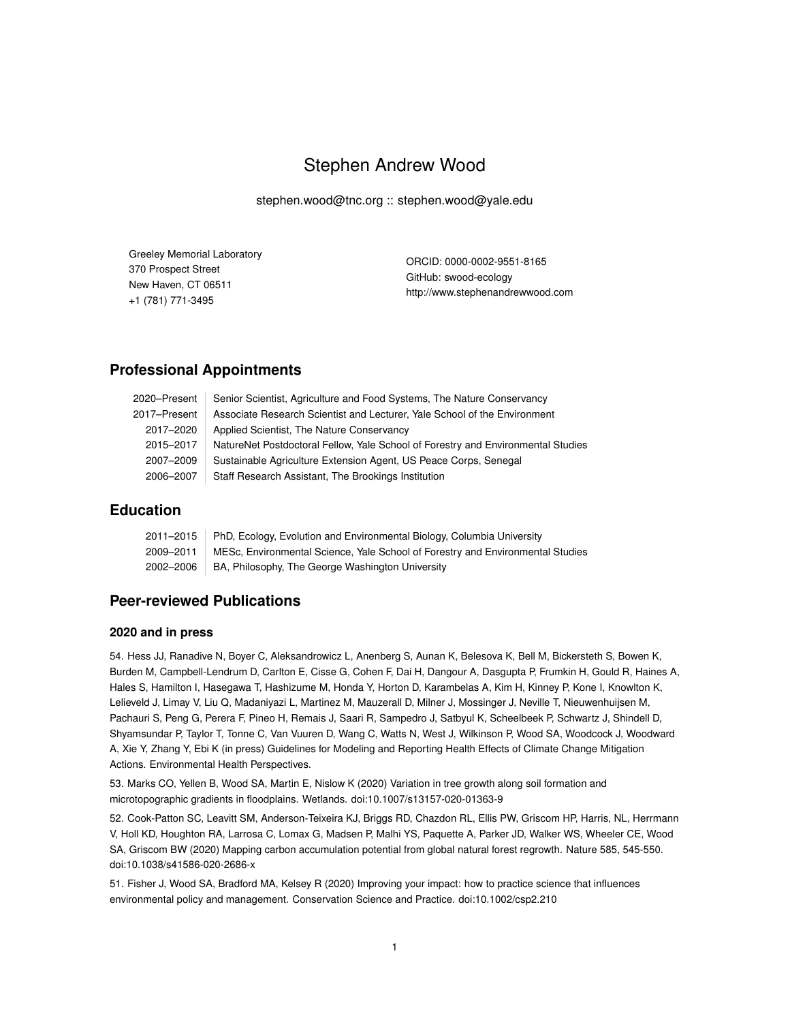# Stephen Andrew Wood

stephen.wood@tnc.org :: stephen.wood@yale.edu

| Greeley Memorial Laboratory | ORCID: 0000-0002-9551-8165       |  |
|-----------------------------|----------------------------------|--|
| 370 Prospect Street         |                                  |  |
|                             | GitHub: swood-ecology            |  |
| New Haven, CT 06511         | http://www.stephenandrewwood.com |  |
| +1 (781) 771-3495           |                                  |  |

## **Professional Appointments**

| 2020–Present | Senior Scientist, Agriculture and Food Systems, The Nature Conservancy           |
|--------------|----------------------------------------------------------------------------------|
| 2017–Present | Associate Research Scientist and Lecturer, Yale School of the Environment        |
| 2017-2020    | Applied Scientist, The Nature Conservancy                                        |
| 2015-2017    | NatureNet Postdoctoral Fellow, Yale School of Forestry and Environmental Studies |
| 2007-2009    | Sustainable Agriculture Extension Agent, US Peace Corps, Senegal                 |
| 2006-2007    | Staff Research Assistant, The Brookings Institution                              |

## **Education**

|           | 2011–2015   PhD, Ecology, Evolution and Environmental Biology, Columbia University |
|-----------|------------------------------------------------------------------------------------|
| 2009-2011 | MESc, Environmental Science, Yale School of Forestry and Environmental Studies     |
| 2002–2006 | BA, Philosophy, The George Washington University                                   |

# **Peer-reviewed Publications**

#### **2020 and in press**

54. Hess JJ, Ranadive N, Boyer C, Aleksandrowicz L, Anenberg S, Aunan K, Belesova K, Bell M, Bickersteth S, Bowen K, Burden M, Campbell-Lendrum D, Carlton E, Cisse G, Cohen F, Dai H, Dangour A, Dasgupta P, Frumkin H, Gould R, Haines A, Hales S, Hamilton I, Hasegawa T, Hashizume M, Honda Y, Horton D, Karambelas A, Kim H, Kinney P, Kone I, Knowlton K, Lelieveld J, Limay V, Liu Q, Madaniyazi L, Martinez M, Mauzerall D, Milner J, Mossinger J, Neville T, Nieuwenhuijsen M, Pachauri S, Peng G, Perera F, Pineo H, Remais J, Saari R, Sampedro J, Satbyul K, Scheelbeek P, Schwartz J, Shindell D, Shyamsundar P, Taylor T, Tonne C, Van Vuuren D, Wang C, Watts N, West J, Wilkinson P, Wood SA, Woodcock J, Woodward A, Xie Y, Zhang Y, Ebi K (in press) Guidelines for Modeling and Reporting Health Effects of Climate Change Mitigation Actions. Environmental Health Perspectives.

53. Marks CO, Yellen B, Wood SA, Martin E, Nislow K (2020) Variation in tree growth along soil formation and microtopographic gradients in floodplains. Wetlands. doi:10.1007/s13157-020-01363-9

52. Cook-Patton SC, Leavitt SM, Anderson-Teixeira KJ, Briggs RD, Chazdon RL, Ellis PW, Griscom HP, Harris, NL, Herrmann V, Holl KD, Houghton RA, Larrosa C, Lomax G, Madsen P, Malhi YS, Paquette A, Parker JD, Walker WS, Wheeler CE, Wood SA, Griscom BW (2020) Mapping carbon accumulation potential from global natural forest regrowth. Nature 585, 545-550. doi:10.1038/s41586-020-2686-x

51. Fisher J, Wood SA, Bradford MA, Kelsey R (2020) Improving your impact: how to practice science that influences environmental policy and management. Conservation Science and Practice. doi:10.1002/csp2.210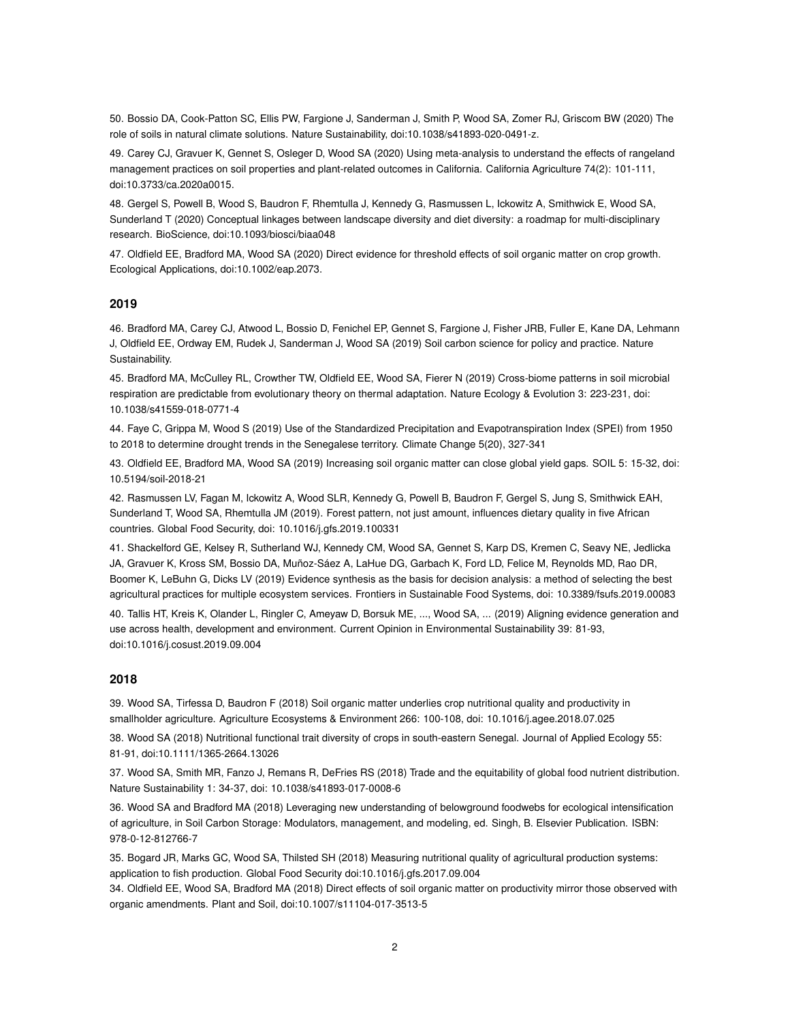50. Bossio DA, Cook-Patton SC, Ellis PW, Fargione J, Sanderman J, Smith P, Wood SA, Zomer RJ, Griscom BW (2020) The role of soils in natural climate solutions. Nature Sustainability, doi:10.1038/s41893-020-0491-z.

49. Carey CJ, Gravuer K, Gennet S, Osleger D, Wood SA (2020) Using meta-analysis to understand the effects of rangeland management practices on soil properties and plant-related outcomes in California. California Agriculture 74(2): 101-111, doi:10.3733/ca.2020a0015.

48. Gergel S, Powell B, Wood S, Baudron F, Rhemtulla J, Kennedy G, Rasmussen L, Ickowitz A, Smithwick E, Wood SA, Sunderland T (2020) Conceptual linkages between landscape diversity and diet diversity: a roadmap for multi-disciplinary research. BioScience, doi:10.1093/biosci/biaa048

47. Oldfield EE, Bradford MA, Wood SA (2020) Direct evidence for threshold effects of soil organic matter on crop growth. Ecological Applications, doi:10.1002/eap.2073.

#### **2019**

46. Bradford MA, Carey CJ, Atwood L, Bossio D, Fenichel EP, Gennet S, Fargione J, Fisher JRB, Fuller E, Kane DA, Lehmann J, Oldfield EE, Ordway EM, Rudek J, Sanderman J, Wood SA (2019) Soil carbon science for policy and practice. Nature Sustainability.

45. Bradford MA, McCulley RL, Crowther TW, Oldfield EE, Wood SA, Fierer N (2019) Cross-biome patterns in soil microbial respiration are predictable from evolutionary theory on thermal adaptation. Nature Ecology & Evolution 3: 223-231, doi: 10.1038/s41559-018-0771-4

44. Faye C, Grippa M, Wood S (2019) Use of the Standardized Precipitation and Evapotranspiration Index (SPEI) from 1950 to 2018 to determine drought trends in the Senegalese territory. Climate Change 5(20), 327-341

43. Oldfield EE, Bradford MA, Wood SA (2019) Increasing soil organic matter can close global yield gaps. SOIL 5: 15-32, doi: 10.5194/soil-2018-21

42. Rasmussen LV, Fagan M, Ickowitz A, Wood SLR, Kennedy G, Powell B, Baudron F, Gergel S, Jung S, Smithwick EAH, Sunderland T, Wood SA, Rhemtulla JM (2019). Forest pattern, not just amount, influences dietary quality in five African countries. Global Food Security, doi: 10.1016/j.gfs.2019.100331

41. Shackelford GE, Kelsey R, Sutherland WJ, Kennedy CM, Wood SA, Gennet S, Karp DS, Kremen C, Seavy NE, Jedlicka JA, Gravuer K, Kross SM, Bossio DA, Muñoz-Sáez A, LaHue DG, Garbach K, Ford LD, Felice M, Reynolds MD, Rao DR, Boomer K, LeBuhn G, Dicks LV (2019) Evidence synthesis as the basis for decision analysis: a method of selecting the best agricultural practices for multiple ecosystem services. Frontiers in Sustainable Food Systems, doi: 10.3389/fsufs.2019.00083

40. Tallis HT, Kreis K, Olander L, Ringler C, Ameyaw D, Borsuk ME, ..., Wood SA, ... (2019) Aligning evidence generation and use across health, development and environment. Current Opinion in Environmental Sustainability 39: 81-93, doi:10.1016/j.cosust.2019.09.004

#### **2018**

39. Wood SA, Tirfessa D, Baudron F (2018) Soil organic matter underlies crop nutritional quality and productivity in smallholder agriculture. Agriculture Ecosystems & Environment 266: 100-108, doi: 10.1016/j.agee.2018.07.025

38. Wood SA (2018) Nutritional functional trait diversity of crops in south-eastern Senegal. Journal of Applied Ecology 55: 81-91, doi:10.1111/1365-2664.13026

37. Wood SA, Smith MR, Fanzo J, Remans R, DeFries RS (2018) Trade and the equitability of global food nutrient distribution. Nature Sustainability 1: 34-37, doi: 10.1038/s41893-017-0008-6

36. Wood SA and Bradford MA (2018) Leveraging new understanding of belowground foodwebs for ecological intensification of agriculture, in Soil Carbon Storage: Modulators, management, and modeling, ed. Singh, B. Elsevier Publication. ISBN: 978-0-12-812766-7

35. Bogard JR, Marks GC, Wood SA, Thilsted SH (2018) Measuring nutritional quality of agricultural production systems: application to fish production. Global Food Security doi:10.1016/j.gfs.2017.09.004

34. Oldfield EE, Wood SA, Bradford MA (2018) Direct effects of soil organic matter on productivity mirror those observed with organic amendments. Plant and Soil, doi:10.1007/s11104-017-3513-5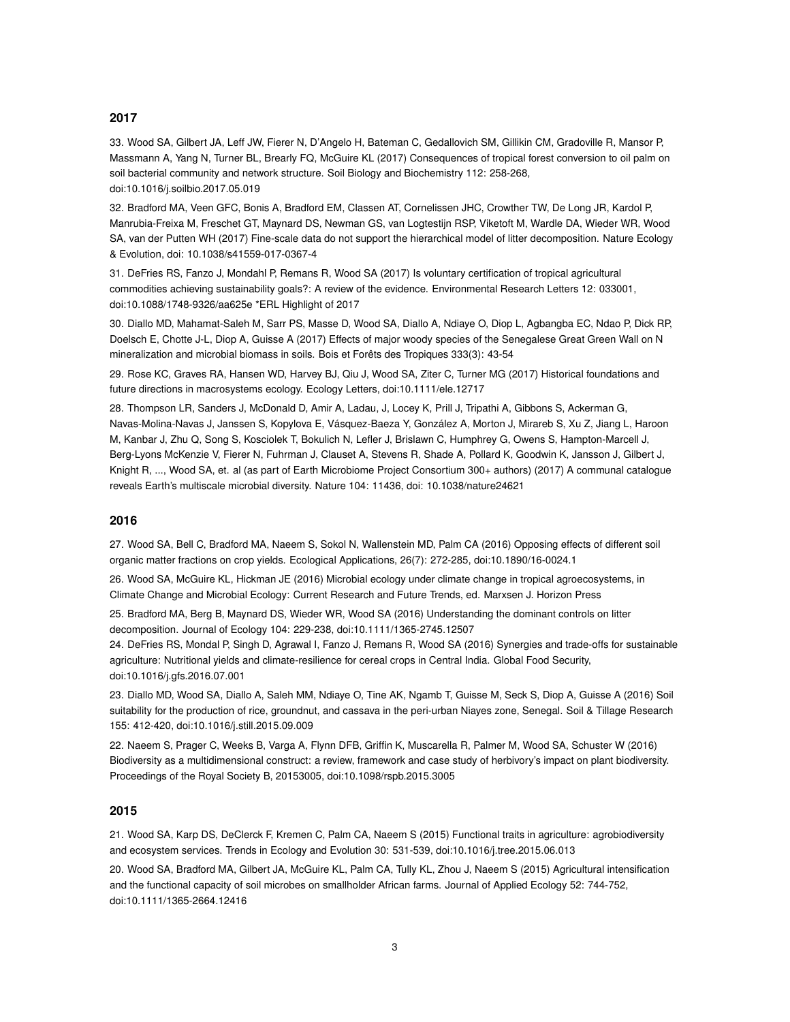#### **2017**

33. Wood SA, Gilbert JA, Leff JW, Fierer N, D'Angelo H, Bateman C, Gedallovich SM, Gillikin CM, Gradoville R, Mansor P, Massmann A, Yang N, Turner BL, Brearly FQ, McGuire KL (2017) Consequences of tropical forest conversion to oil palm on soil bacterial community and network structure. Soil Biology and Biochemistry 112: 258-268, doi:10.1016/j.soilbio.2017.05.019

32. Bradford MA, Veen GFC, Bonis A, Bradford EM, Classen AT, Cornelissen JHC, Crowther TW, De Long JR, Kardol P, Manrubia-Freixa M, Freschet GT, Maynard DS, Newman GS, van Logtestijn RSP, Viketoft M, Wardle DA, Wieder WR, Wood SA, van der Putten WH (2017) Fine-scale data do not support the hierarchical model of litter decomposition. Nature Ecology & Evolution, doi: 10.1038/s41559-017-0367-4

31. DeFries RS, Fanzo J, Mondahl P, Remans R, Wood SA (2017) Is voluntary certification of tropical agricultural commodities achieving sustainability goals?: A review of the evidence. Environmental Research Letters 12: 033001, doi:10.1088/1748-9326/aa625e \*ERL Highlight of 2017

30. Diallo MD, Mahamat-Saleh M, Sarr PS, Masse D, Wood SA, Diallo A, Ndiaye O, Diop L, Agbangba EC, Ndao P, Dick RP, Doelsch E, Chotte J-L, Diop A, Guisse A (2017) Effects of major woody species of the Senegalese Great Green Wall on N mineralization and microbial biomass in soils. Bois et Forêts des Tropiques 333(3): 43-54

29. Rose KC, Graves RA, Hansen WD, Harvey BJ, Qiu J, Wood SA, Ziter C, Turner MG (2017) Historical foundations and future directions in macrosystems ecology. Ecology Letters, doi:10.1111/ele.12717

28. Thompson LR, Sanders J, McDonald D, Amir A, Ladau, J, Locey K, Prill J, Tripathi A, Gibbons S, Ackerman G, Navas-Molina-Navas J, Janssen S, Kopylova E, Vásquez-Baeza Y, González A, Morton J, Mirareb S, Xu Z, Jiang L, Haroon M, Kanbar J, Zhu Q, Song S, Kosciolek T, Bokulich N, Lefler J, Brislawn C, Humphrey G, Owens S, Hampton-Marcell J, Berg-Lyons McKenzie V, Fierer N, Fuhrman J, Clauset A, Stevens R, Shade A, Pollard K, Goodwin K, Jansson J, Gilbert J, Knight R, ..., Wood SA, et. al (as part of Earth Microbiome Project Consortium 300+ authors) (2017) A communal catalogue reveals Earth's multiscale microbial diversity. Nature 104: 11436, doi: 10.1038/nature24621

#### **2016**

27. Wood SA, Bell C, Bradford MA, Naeem S, Sokol N, Wallenstein MD, Palm CA (2016) Opposing effects of different soil organic matter fractions on crop yields. Ecological Applications, 26(7): 272-285, doi:10.1890/16-0024.1

26. Wood SA, McGuire KL, Hickman JE (2016) Microbial ecology under climate change in tropical agroecosystems, in Climate Change and Microbial Ecology: Current Research and Future Trends, ed. Marxsen J. Horizon Press

25. Bradford MA, Berg B, Maynard DS, Wieder WR, Wood SA (2016) Understanding the dominant controls on litter decomposition. Journal of Ecology 104: 229-238, doi:10.1111/1365-2745.12507

24. DeFries RS, Mondal P, Singh D, Agrawal I, Fanzo J, Remans R, Wood SA (2016) Synergies and trade-offs for sustainable agriculture: Nutritional yields and climate-resilience for cereal crops in Central India. Global Food Security, doi:10.1016/j.gfs.2016.07.001

23. Diallo MD, Wood SA, Diallo A, Saleh MM, Ndiaye O, Tine AK, Ngamb T, Guisse M, Seck S, Diop A, Guisse A (2016) Soil suitability for the production of rice, groundnut, and cassava in the peri-urban Niayes zone, Senegal. Soil & Tillage Research 155: 412-420, doi:10.1016/j.still.2015.09.009

22. Naeem S, Prager C, Weeks B, Varga A, Flynn DFB, Griffin K, Muscarella R, Palmer M, Wood SA, Schuster W (2016) Biodiversity as a multidimensional construct: a review, framework and case study of herbivory's impact on plant biodiversity. Proceedings of the Royal Society B, 20153005, doi:10.1098/rspb.2015.3005

#### **2015**

21. Wood SA, Karp DS, DeClerck F, Kremen C, Palm CA, Naeem S (2015) Functional traits in agriculture: agrobiodiversity and ecosystem services. Trends in Ecology and Evolution 30: 531-539, doi:10.1016/j.tree.2015.06.013

20. Wood SA, Bradford MA, Gilbert JA, McGuire KL, Palm CA, Tully KL, Zhou J, Naeem S (2015) Agricultural intensification and the functional capacity of soil microbes on smallholder African farms. Journal of Applied Ecology 52: 744-752, doi:10.1111/1365-2664.12416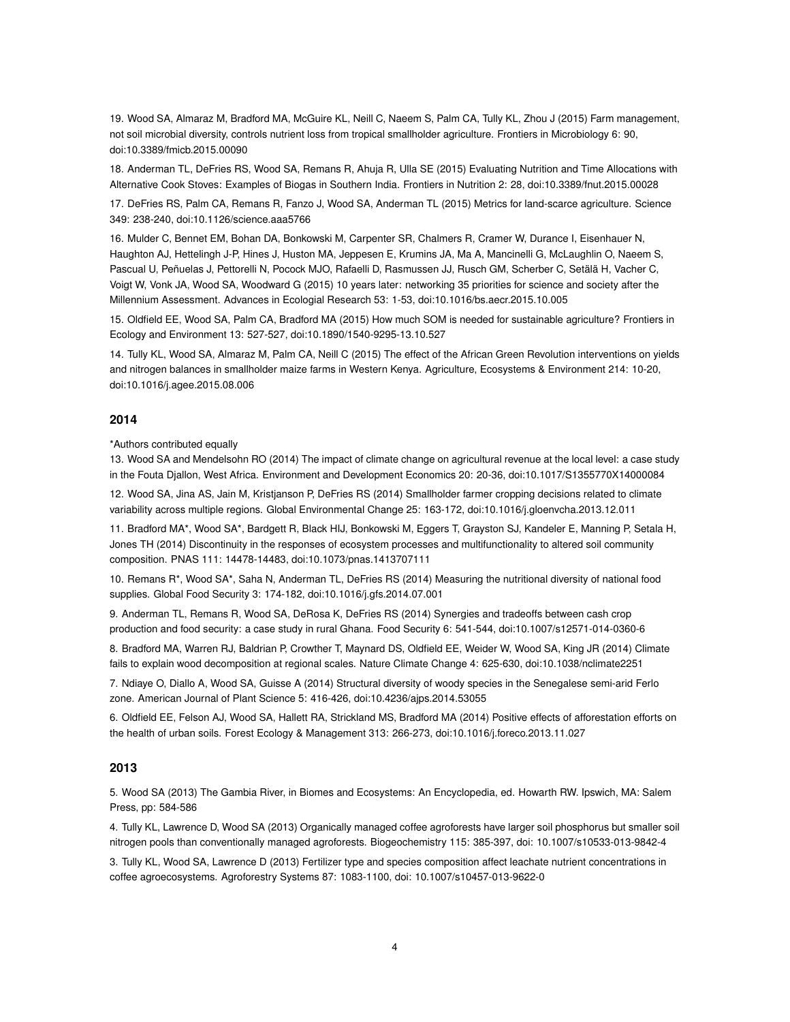19. Wood SA, Almaraz M, Bradford MA, McGuire KL, Neill C, Naeem S, Palm CA, Tully KL, Zhou J (2015) Farm management, not soil microbial diversity, controls nutrient loss from tropical smallholder agriculture. Frontiers in Microbiology 6: 90, doi:10.3389/fmicb.2015.00090

18. Anderman TL, DeFries RS, Wood SA, Remans R, Ahuja R, Ulla SE (2015) Evaluating Nutrition and Time Allocations with Alternative Cook Stoves: Examples of Biogas in Southern India. Frontiers in Nutrition 2: 28, doi:10.3389/fnut.2015.00028

17. DeFries RS, Palm CA, Remans R, Fanzo J, Wood SA, Anderman TL (2015) Metrics for land-scarce agriculture. Science 349: 238-240, doi:10.1126/science.aaa5766

16. Mulder C, Bennet EM, Bohan DA, Bonkowski M, Carpenter SR, Chalmers R, Cramer W, Durance I, Eisenhauer N, Haughton AJ, Hettelingh J-P, Hines J, Huston MA, Jeppesen E, Krumins JA, Ma A, Mancinelli G, McLaughlin O, Naeem S, Pascual U, Peñuelas J, Pettorelli N, Pocock MJO, Rafaelli D, Rasmussen JJ, Rusch GM, Scherber C, Setälä H, Vacher C, Voigt W, Vonk JA, Wood SA, Woodward G (2015) 10 years later: networking 35 priorities for science and society after the Millennium Assessment. Advances in Ecologial Research 53: 1-53, doi:10.1016/bs.aecr.2015.10.005

15. Oldfield EE, Wood SA, Palm CA, Bradford MA (2015) How much SOM is needed for sustainable agriculture? Frontiers in Ecology and Environment 13: 527-527, doi:10.1890/1540-9295-13.10.527

14. Tully KL, Wood SA, Almaraz M, Palm CA, Neill C (2015) The effect of the African Green Revolution interventions on yields and nitrogen balances in smallholder maize farms in Western Kenya. Agriculture, Ecosystems & Environment 214: 10-20, doi:10.1016/j.agee.2015.08.006

#### **2014**

\*Authors contributed equally

13. Wood SA and Mendelsohn RO (2014) The impact of climate change on agricultural revenue at the local level: a case study in the Fouta Djallon, West Africa. Environment and Development Economics 20: 20-36, doi:10.1017/S1355770X14000084

12. Wood SA, Jina AS, Jain M, Kristjanson P, DeFries RS (2014) Smallholder farmer cropping decisions related to climate variability across multiple regions. Global Environmental Change 25: 163-172, doi:10.1016/j.gloenvcha.2013.12.011

11. Bradford MA\*, Wood SA\*, Bardgett R, Black HIJ, Bonkowski M, Eggers T, Grayston SJ, Kandeler E, Manning P, Setala H, Jones TH (2014) Discontinuity in the responses of ecosystem processes and multifunctionality to altered soil community composition. PNAS 111: 14478-14483, doi:10.1073/pnas.1413707111

10. Remans R\*, Wood SA\*, Saha N, Anderman TL, DeFries RS (2014) Measuring the nutritional diversity of national food supplies. Global Food Security 3: 174-182, doi:10.1016/j.gfs.2014.07.001

9. Anderman TL, Remans R, Wood SA, DeRosa K, DeFries RS (2014) Synergies and tradeoffs between cash crop production and food security: a case study in rural Ghana. Food Security 6: 541-544, doi:10.1007/s12571-014-0360-6

8. Bradford MA, Warren RJ, Baldrian P, Crowther T, Maynard DS, Oldfield EE, Weider W, Wood SA, King JR (2014) Climate fails to explain wood decomposition at regional scales. Nature Climate Change 4: 625-630, doi:10.1038/nclimate2251

7. Ndiaye O, Diallo A, Wood SA, Guisse A (2014) Structural diversity of woody species in the Senegalese semi-arid Ferlo zone. American Journal of Plant Science 5: 416-426, doi:10.4236/ajps.2014.53055

6. Oldfield EE, Felson AJ, Wood SA, Hallett RA, Strickland MS, Bradford MA (2014) Positive effects of afforestation efforts on the health of urban soils. Forest Ecology & Management 313: 266-273, doi:10.1016/j.foreco.2013.11.027

#### **2013**

5. Wood SA (2013) The Gambia River, in Biomes and Ecosystems: An Encyclopedia, ed. Howarth RW. Ipswich, MA: Salem Press, pp: 584-586

4. Tully KL, Lawrence D, Wood SA (2013) Organically managed coffee agroforests have larger soil phosphorus but smaller soil nitrogen pools than conventionally managed agroforests. Biogeochemistry 115: 385-397, doi: 10.1007/s10533-013-9842-4

3. Tully KL, Wood SA, Lawrence D (2013) Fertilizer type and species composition affect leachate nutrient concentrations in coffee agroecosystems. Agroforestry Systems 87: 1083-1100, doi: 10.1007/s10457-013-9622-0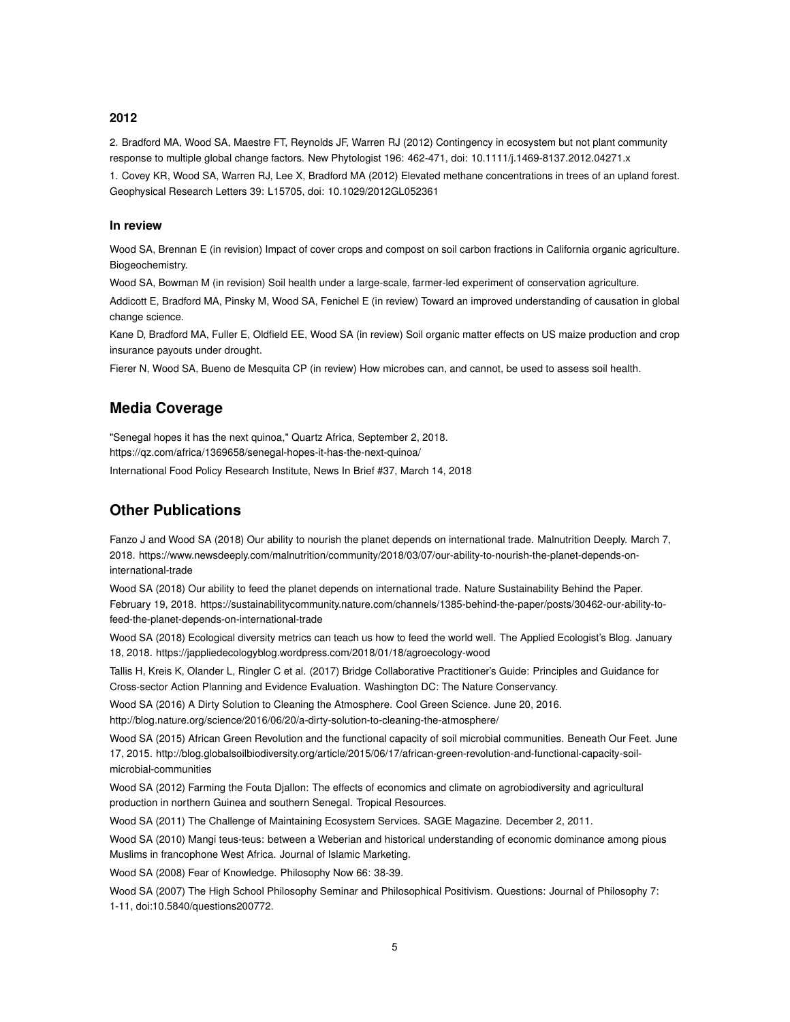#### **2012**

2. Bradford MA, Wood SA, Maestre FT, Reynolds JF, Warren RJ (2012) Contingency in ecosystem but not plant community response to multiple global change factors. New Phytologist 196: 462-471, doi: 10.1111/j.1469-8137.2012.04271.x

1. Covey KR, Wood SA, Warren RJ, Lee X, Bradford MA (2012) Elevated methane concentrations in trees of an upland forest. Geophysical Research Letters 39: L15705, doi: 10.1029/2012GL052361

#### **In review**

Wood SA, Brennan E (in revision) Impact of cover crops and compost on soil carbon fractions in California organic agriculture. Biogeochemistry.

Wood SA, Bowman M (in revision) Soil health under a large-scale, farmer-led experiment of conservation agriculture.

Addicott E, Bradford MA, Pinsky M, Wood SA, Fenichel E (in review) Toward an improved understanding of causation in global change science.

Kane D, Bradford MA, Fuller E, Oldfield EE, Wood SA (in review) Soil organic matter effects on US maize production and crop insurance payouts under drought.

Fierer N, Wood SA, Bueno de Mesquita CP (in review) How microbes can, and cannot, be used to assess soil health.

# **Media Coverage**

"Senegal hopes it has the next quinoa," Quartz Africa, September 2, 2018. https://qz.com/africa/1369658/senegal-hopes-it-has-the-next-quinoa/ International Food Policy Research Institute, News In Brief #37, March 14, 2018

# **Other Publications**

Fanzo J and Wood SA (2018) Our ability to nourish the planet depends on international trade. Malnutrition Deeply. March 7, 2018. https://www.newsdeeply.com/malnutrition/community/2018/03/07/our-ability-to-nourish-the-planet-depends-oninternational-trade

Wood SA (2018) Our ability to feed the planet depends on international trade. Nature Sustainability Behind the Paper. February 19, 2018. https://sustainabilitycommunity.nature.com/channels/1385-behind-the-paper/posts/30462-our-ability-tofeed-the-planet-depends-on-international-trade

Wood SA (2018) Ecological diversity metrics can teach us how to feed the world well. The Applied Ecologist's Blog. January 18, 2018. https://jappliedecologyblog.wordpress.com/2018/01/18/agroecology-wood

Tallis H, Kreis K, Olander L, Ringler C et al. (2017) Bridge Collaborative Practitioner's Guide: Principles and Guidance for Cross-sector Action Planning and Evidence Evaluation. Washington DC: The Nature Conservancy.

Wood SA (2016) A Dirty Solution to Cleaning the Atmosphere. Cool Green Science. June 20, 2016. http://blog.nature.org/science/2016/06/20/a-dirty-solution-to-cleaning-the-atmosphere/

Wood SA (2015) African Green Revolution and the functional capacity of soil microbial communities. Beneath Our Feet. June 17, 2015. http://blog.globalsoilbiodiversity.org/article/2015/06/17/african-green-revolution-and-functional-capacity-soilmicrobial-communities

Wood SA (2012) Farming the Fouta Djallon: The effects of economics and climate on agrobiodiversity and agricultural production in northern Guinea and southern Senegal. Tropical Resources.

Wood SA (2011) The Challenge of Maintaining Ecosystem Services. SAGE Magazine. December 2, 2011.

Wood SA (2010) Mangi teus-teus: between a Weberian and historical understanding of economic dominance among pious Muslims in francophone West Africa. Journal of Islamic Marketing.

Wood SA (2008) Fear of Knowledge. Philosophy Now 66: 38-39.

Wood SA (2007) The High School Philosophy Seminar and Philosophical Positivism. Questions: Journal of Philosophy 7: 1-11, doi:10.5840/questions200772.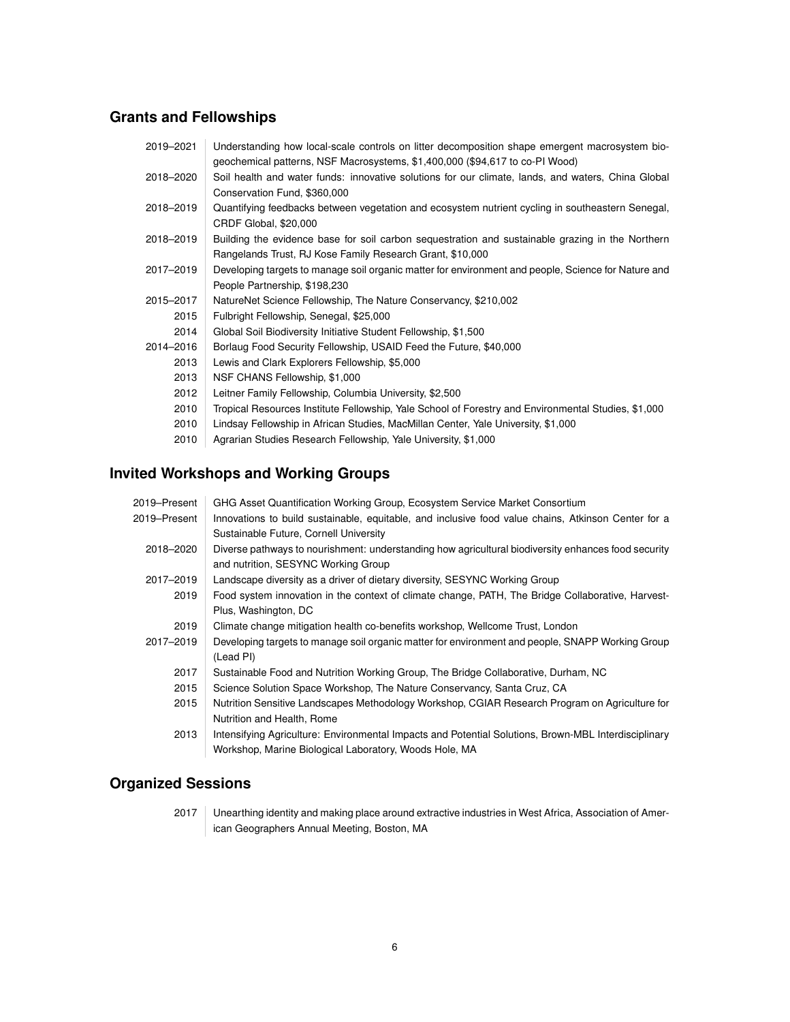# **Grants and Fellowships**

| 2019-2021 | Understanding how local-scale controls on litter decomposition shape emergent macrosystem bio-      |
|-----------|-----------------------------------------------------------------------------------------------------|
|           | geochemical patterns, NSF Macrosystems, \$1,400,000 (\$94,617 to co-PI Wood)                        |
| 2018-2020 | Soil health and water funds: innovative solutions for our climate, lands, and waters, China Global  |
|           | Conservation Fund, \$360,000                                                                        |
| 2018-2019 | Quantifying feedbacks between vegetation and ecosystem nutrient cycling in southeastern Senegal,    |
|           | CRDF Global, \$20,000                                                                               |
| 2018-2019 | Building the evidence base for soil carbon sequestration and sustainable grazing in the Northern    |
|           | Rangelands Trust, RJ Kose Family Research Grant, \$10,000                                           |
| 2017-2019 | Developing targets to manage soil organic matter for environment and people, Science for Nature and |
|           | People Partnership, \$198,230                                                                       |
| 2015-2017 | NatureNet Science Fellowship, The Nature Conservancy, \$210,002                                     |
| 2015      | Fulbright Fellowship, Senegal, \$25,000                                                             |
| 2014      | Global Soil Biodiversity Initiative Student Fellowship, \$1,500                                     |
| 2014-2016 | Borlaug Food Security Fellowship, USAID Feed the Future, \$40,000                                   |
| 2013      | Lewis and Clark Explorers Fellowship, \$5,000                                                       |
| 2013      | NSF CHANS Fellowship, \$1,000                                                                       |
| 2012      | Leitner Family Fellowship, Columbia University, \$2,500                                             |
| 2010      | Tropical Resources Institute Fellowship, Yale School of Forestry and Environmental Studies, \$1,000 |
| 2010      | Lindsay Fellowship in African Studies, MacMillan Center, Yale University, \$1,000                   |
| 2010      | Agrarian Studies Research Fellowship, Yale University, \$1,000                                      |

# **Invited Workshops and Working Groups**

| 2019–Present | GHG Asset Quantification Working Group, Ecosystem Service Market Consortium                          |
|--------------|------------------------------------------------------------------------------------------------------|
| 2019–Present | Innovations to build sustainable, equitable, and inclusive food value chains, Atkinson Center for a  |
|              | Sustainable Future, Cornell University                                                               |
| 2018-2020    | Diverse pathways to nourishment: understanding how agricultural biodiversity enhances food security  |
|              | and nutrition, SESYNC Working Group                                                                  |
| 2017-2019    | Landscape diversity as a driver of dietary diversity, SESYNC Working Group                           |
| 2019         | Food system innovation in the context of climate change, PATH, The Bridge Collaborative, Harvest-    |
|              | Plus, Washington, DC                                                                                 |
| 2019         | Climate change mitigation health co-benefits workshop, Wellcome Trust, London                        |
| 2017-2019    | Developing targets to manage soil organic matter for environment and people, SNAPP Working Group     |
|              | (Lead PI)                                                                                            |
| 2017         | Sustainable Food and Nutrition Working Group, The Bridge Collaborative, Durham, NC                   |
| 2015         | Science Solution Space Workshop, The Nature Conservancy, Santa Cruz, CA                              |
| 2015         | Nutrition Sensitive Landscapes Methodology Workshop, CGIAR Research Program on Agriculture for       |
|              | Nutrition and Health, Rome                                                                           |
| 2013         | Intensifying Agriculture: Environmental Impacts and Potential Solutions, Brown-MBL Interdisciplinary |
|              | Workshop, Marine Biological Laboratory, Woods Hole, MA                                               |

# **Organized Sessions**

2017 | Unearthing identity and making place around extractive industries in West Africa, Association of American Geographers Annual Meeting, Boston, MA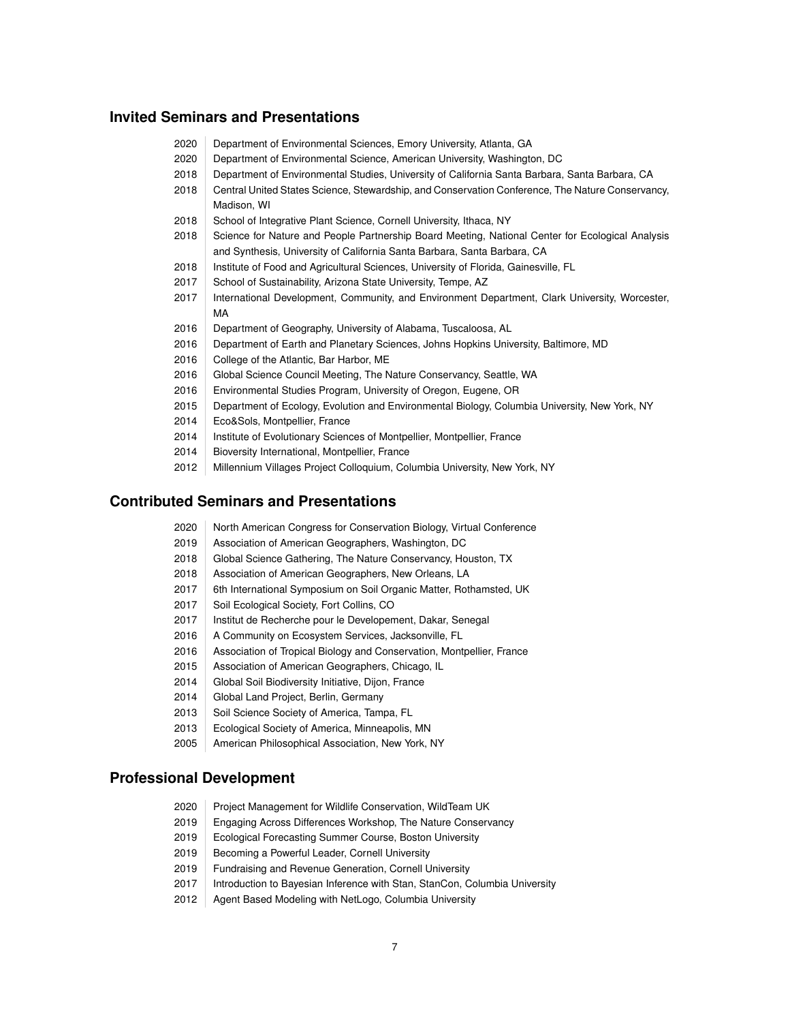## **Invited Seminars and Presentations**

- 2020 Department of Environmental Sciences, Emory University, Atlanta, GA
- 2020 Department of Environmental Science, American University, Washington, DC
- 2018 Department of Environmental Studies, University of California Santa Barbara, Santa Barbara, CA
- 2018 Central United States Science, Stewardship, and Conservation Conference, The Nature Conservancy, Madison, WI
- 2018 School of Integrative Plant Science, Cornell University, Ithaca, NY
- 2018 Science for Nature and People Partnership Board Meeting, National Center for Ecological Analysis and Synthesis, University of California Santa Barbara, Santa Barbara, CA
- 2018 | Institute of Food and Agricultural Sciences, University of Florida, Gainesville, FL
- 2017 School of Sustainability, Arizona State University, Tempe, AZ
- 2017 International Development, Community, and Environment Department, Clark University, Worcester, MA
- 2016 Department of Geography, University of Alabama, Tuscaloosa, AL
- 2016 Department of Earth and Planetary Sciences, Johns Hopkins University, Baltimore, MD
- 2016 College of the Atlantic, Bar Harbor, ME
- 2016 Global Science Council Meeting, The Nature Conservancy, Seattle, WA
- 2016 | Environmental Studies Program, University of Oregon, Eugene, OR
- 2015 Department of Ecology, Evolution and Environmental Biology, Columbia University, New York, NY
- 2014 Eco&Sols, Montpellier, France
- 2014 Institute of Evolutionary Sciences of Montpellier, Montpellier, France
- 2014 Bioversity International, Montpellier, France
- 2012 Millennium Villages Project Colloquium, Columbia University, New York, NY

### **Contributed Seminars and Presentations**

- 2020 North American Congress for Conservation Biology, Virtual Conference
- 2019 Association of American Geographers, Washington, DC
- 2018 Global Science Gathering, The Nature Conservancy, Houston, TX
- 2018 | Association of American Geographers, New Orleans, LA
- 2017 | 6th International Symposium on Soil Organic Matter, Rothamsted, UK
- 2017 | Soil Ecological Society, Fort Collins, CO
- 2017 | Institut de Recherche pour le Developement, Dakar, Senegal
- 2016 | A Community on Ecosystem Services, Jacksonville, FL
- 2016 Association of Tropical Biology and Conservation, Montpellier, France
- 2015 | Association of American Geographers, Chicago, IL
- 2014 Global Soil Biodiversity Initiative, Dijon, France
- 2014 Global Land Project, Berlin, Germany
- 2013 Soil Science Society of America, Tampa, FL
- 2013 Ecological Society of America, Minneapolis, MN
- 2005 American Philosophical Association, New York, NY

#### **Professional Development**

- 2020 Project Management for Wildlife Conservation, WildTeam UK
- 2019 Engaging Across Differences Workshop, The Nature Conservancy
- 2019 Ecological Forecasting Summer Course, Boston University
- 2019 Becoming a Powerful Leader, Cornell University
- 2019 Fundraising and Revenue Generation, Cornell University
- 2017 Introduction to Bayesian Inference with Stan, StanCon, Columbia University
- 2012 | Agent Based Modeling with NetLogo, Columbia University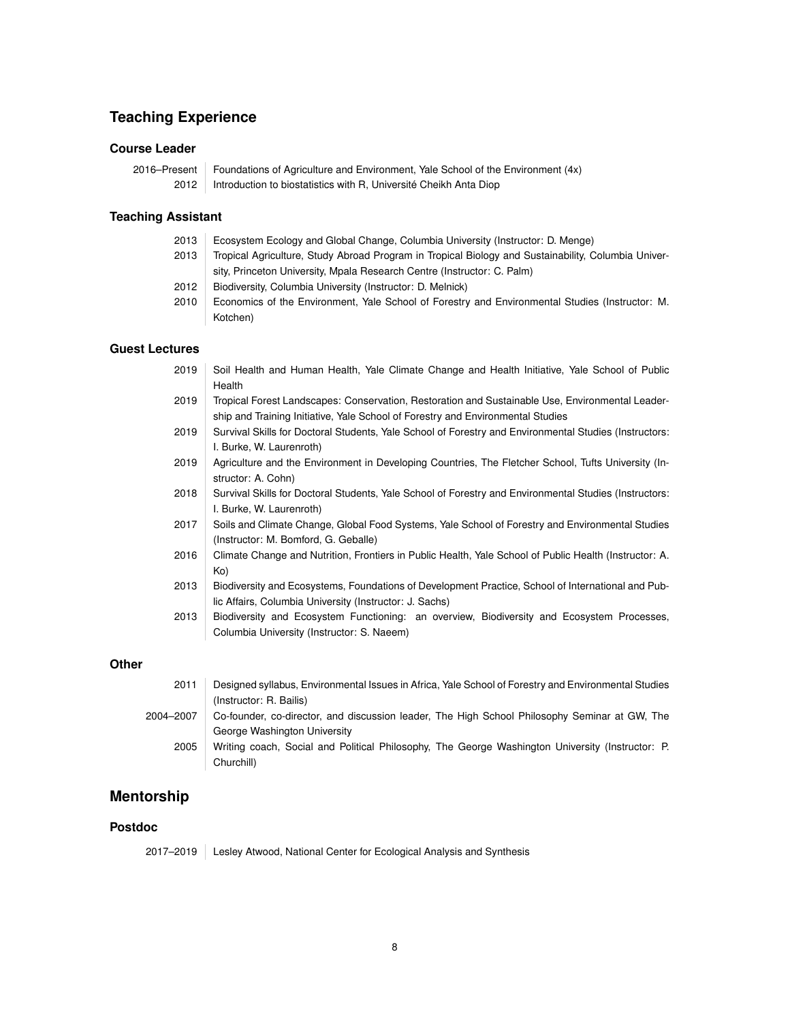# **Teaching Experience**

#### **Course Leader**

|      | 2016–Present   Foundations of Agriculture and Environment, Yale School of the Environment $(4x)$ |
|------|--------------------------------------------------------------------------------------------------|
| 2012 | Introduction to biostatistics with R, Université Cheikh Anta Diop                                |

#### **Teaching Assistant**

- 2013 Ecosystem Ecology and Global Change, Columbia University (Instructor: D. Menge)
- 2013 Tropical Agriculture, Study Abroad Program in Tropical Biology and Sustainability, Columbia University, Princeton University, Mpala Research Centre (Instructor: C. Palm)
- 2012 Biodiversity, Columbia University (Instructor: D. Melnick)
- 2010 Economics of the Environment, Yale School of Forestry and Environmental Studies (Instructor: M. Kotchen)

#### **Guest Lectures**

- 2019 Soil Health and Human Health, Yale Climate Change and Health Initiative, Yale School of Public Health
- 2019 Tropical Forest Landscapes: Conservation, Restoration and Sustainable Use, Environmental Leadership and Training Initiative, Yale School of Forestry and Environmental Studies
- 2019 Survival Skills for Doctoral Students, Yale School of Forestry and Environmental Studies (Instructors: I. Burke, W. Laurenroth)
- 2019 Agriculture and the Environment in Developing Countries, The Fletcher School, Tufts University (Instructor: A. Cohn)
- 2018 Survival Skills for Doctoral Students, Yale School of Forestry and Environmental Studies (Instructors: I. Burke, W. Laurenroth)
- 2017 Soils and Climate Change, Global Food Systems, Yale School of Forestry and Environmental Studies (Instructor: M. Bomford, G. Geballe)
- 2016 Climate Change and Nutrition, Frontiers in Public Health, Yale School of Public Health (Instructor: A. Ko)
- 2013 Biodiversity and Ecosystems, Foundations of Development Practice, School of International and Public Affairs, Columbia University (Instructor: J. Sachs)
- 2013 Biodiversity and Ecosystem Functioning: an overview, Biodiversity and Ecosystem Processes, Columbia University (Instructor: S. Naeem)

#### **Other**

| 2011      | Designed syllabus, Environmental Issues in Africa, Yale School of Forestry and Environmental Studies |
|-----------|------------------------------------------------------------------------------------------------------|
|           | (Instructor: R. Bailis)                                                                              |
| 2004-2007 | Co-founder, co-director, and discussion leader, The High School Philosophy Seminar at GW, The        |
|           | George Washington University                                                                         |
| 2005      | Writing coach, Social and Political Philosophy, The George Washington University (Instructor: P.     |
|           | Churchill)                                                                                           |

# **Mentorship**

#### **Postdoc**

2017–2019 Lesley Atwood, National Center for Ecological Analysis and Synthesis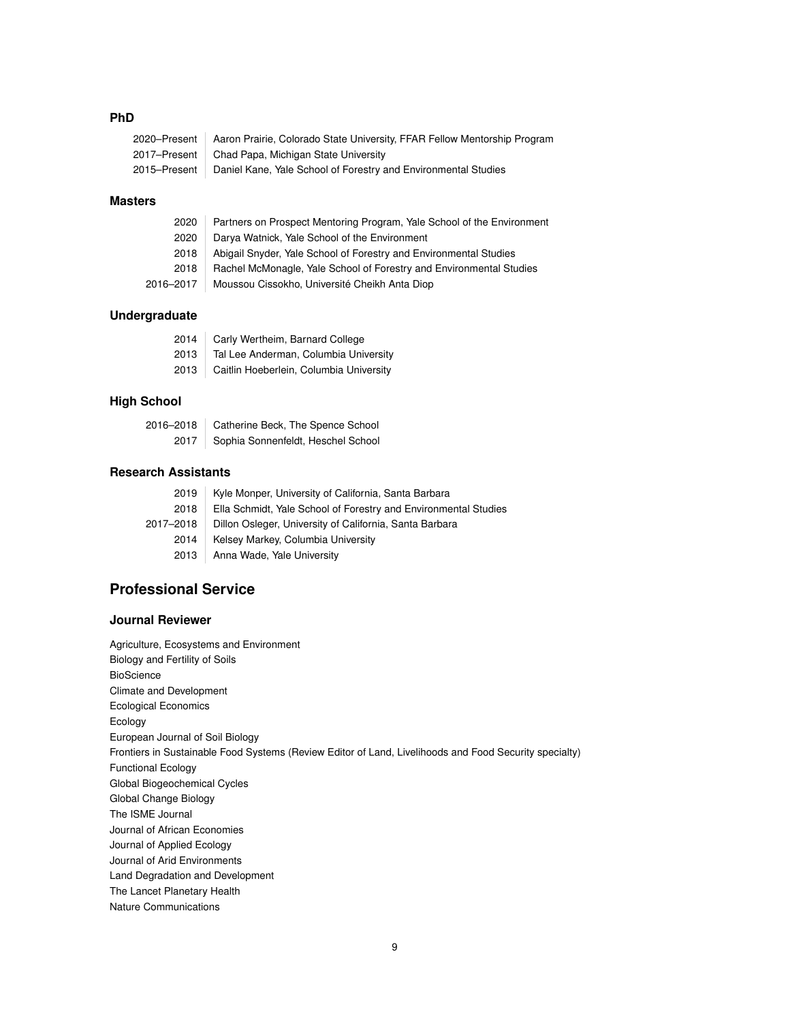## **PhD**

| 2020–Present   Aaron Prairie, Colorado State University, FFAR Fellow Mentorship Program |
|-----------------------------------------------------------------------------------------|
| 2017–Present   Chad Papa, Michigan State University                                     |
| 2015–Present   Daniel Kane, Yale School of Forestry and Environmental Studies           |

#### **Masters**

| 2020      | Partners on Prospect Mentoring Program, Yale School of the Environment |
|-----------|------------------------------------------------------------------------|
| 2020      | Darya Watnick, Yale School of the Environment                          |
| 2018      | Abigail Snyder, Yale School of Forestry and Environmental Studies      |
| 2018      | Rachel McMonagle, Yale School of Forestry and Environmental Studies    |
| 2016–2017 | Moussou Cissokho, Université Cheikh Anta Diop                          |

## **Undergraduate**

| 2014 | Carly Wertheim, Barnard College         |
|------|-----------------------------------------|
| 2013 | Tal Lee Anderman, Columbia University   |
| 2013 | Caitlin Hoeberlein, Columbia University |

# **High School**

| 2016-2018 | Catherine Beck, The Spence School         |
|-----------|-------------------------------------------|
|           | 2017   Sophia Sonnenfeldt, Heschel School |

# **Research Assistants**

| 2019      | Kyle Monper, University of California, Santa Barbara            |
|-----------|-----------------------------------------------------------------|
| 2018      | Ella Schmidt, Yale School of Forestry and Environmental Studies |
| 2017–2018 | Dillon Osleger, University of California, Santa Barbara         |
| 2014      | Kelsey Markey, Columbia University                              |
| 2013      | Anna Wade, Yale University                                      |

# **Professional Service**

### **Journal Reviewer**

Agriculture, Ecosystems and Environment Biology and Fertility of Soils BioScience Climate and Development Ecological Economics Ecology European Journal of Soil Biology Frontiers in Sustainable Food Systems (Review Editor of Land, Livelihoods and Food Security specialty) Functional Ecology Global Biogeochemical Cycles Global Change Biology The ISME Journal Journal of African Economies Journal of Applied Ecology Journal of Arid Environments Land Degradation and Development The Lancet Planetary Health Nature Communications